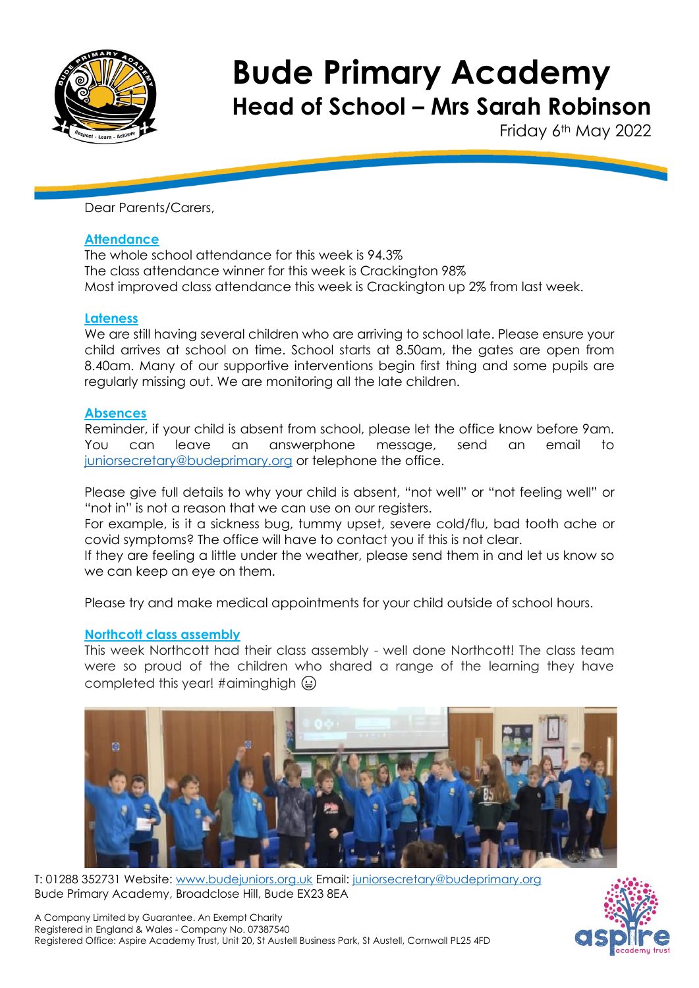

Friday 6<sup>th</sup> May 2022

Dear Parents/Carers,

#### **Attendance**

The whole school attendance for this week is 94.3% The class attendance winner for this week is Crackington 98% Most improved class attendance this week is Crackington up 2% from last week.

#### **Lateness**

We are still having several children who are arriving to school late. Please ensure your child arrives at school on time. School starts at 8.50am, the gates are open from 8.40am. Many of our supportive interventions begin first thing and some pupils are regularly missing out. We are monitoring all the late children.

### **Absences**

Reminder, if your child is absent from school, please let the office know before 9am. You can leave an answerphone message, send an email to [juniorsecretary@budeprimary.org](mailto:juniorsecretary@budeprimary.org) or telephone the office.

Please give full details to why your child is absent, "not well" or "not feeling well" or "not in" is not a reason that we can use on our registers.

For example, is it a sickness bug, tummy upset, severe cold/flu, bad tooth ache or covid symptoms? The office will have to contact you if this is not clear.

If they are feeling a little under the weather, please send them in and let us know so we can keep an eye on them.

Please try and make medical appointments for your child outside of school hours.

# **Northcott class assembly**

This week Northcott had their class assembly - well done Northcott! The class team were so proud of the children who shared a range of the learning they have completed this year! #aiminghigh  $\bigodot$ 



T: 01288 352731 Website: [www.budejuniors.org.uk](http://www.budejuniors.org.uk/) Email: [juniorsecretary@budeprimary.org](mailto:juniorsecretary@budeprimary.org) Bude Primary Academy, Broadclose Hill, Bude EX23 8EA

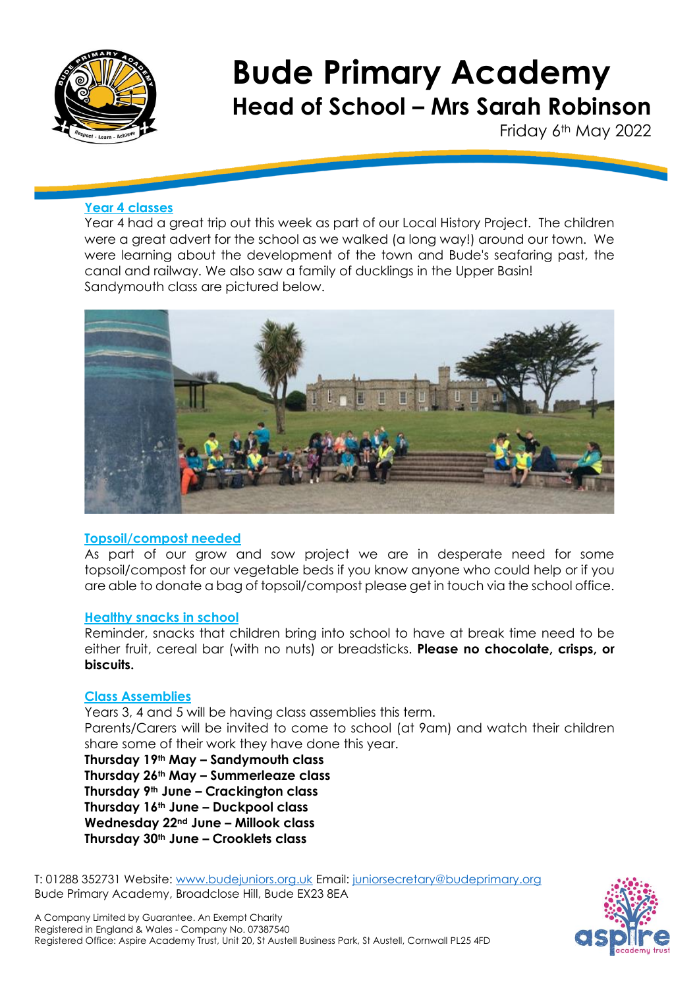

Friday 6<sup>th</sup> May 2022

# **Year 4 classes**

Year 4 had a great trip out this week as part of our Local History Project. The children were a great advert for the school as we walked (a long way!) around our town. We were learning about the development of the town and Bude's seafaring past, the canal and railway. We also saw a family of ducklings in the Upper Basin! Sandymouth class are pictured below.



#### **Topsoil/compost needed**

As part of our grow and sow project we are in desperate need for some topsoil/compost for our vegetable beds if you know anyone who could help or if you are able to donate a bag of topsoil/compost please get in touch via the school office.

#### **Healthy snacks in school**

Reminder, snacks that children bring into school to have at break time need to be either fruit, cereal bar (with no nuts) or breadsticks. **Please no chocolate, crisps, or biscuits.**

#### **Class Assemblies**

Years 3, 4 and 5 will be having class assemblies this term. Parents/Carers will be invited to come to school (at 9am) and watch their children share some of their work they have done this year.

**Thursday 19th May – Sandymouth class Thursday 26th May – Summerleaze class Thursday 9th June – Crackington class Thursday 16th June – Duckpool class Wednesday 22nd June – Millook class Thursday 30th June – Crooklets class**

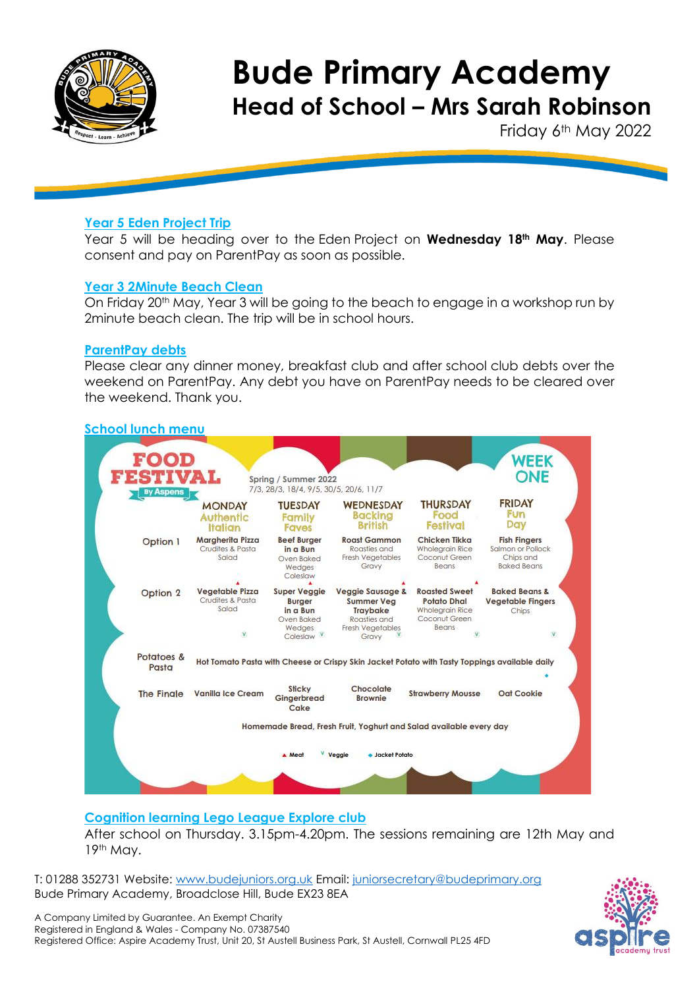

Friday 6<sup>th</sup> May 2022

# **Year 5 Eden Project Trip**

Year 5 will be heading over to the Eden Project on **Wednesday 18th May**. Please consent and pay on ParentPay as soon as possible.

### **Year 3 2Minute Beach Clean**

On Friday 20th May, Year 3 will be going to the beach to engage in a workshop run by 2minute beach clean. The trip will be in school hours.

### **ParentPay debts**

Please clear any dinner money, breakfast club and after school club debts over the weekend on ParentPay. Any debt you have on ParentPay needs to be cleared over the weekend. Thank you.

# **School lunch menu**



# **Cognition learning Lego League Explore club**

After school on Thursday. 3.15pm-4.20pm. The sessions remaining are 12th May and 19th May.

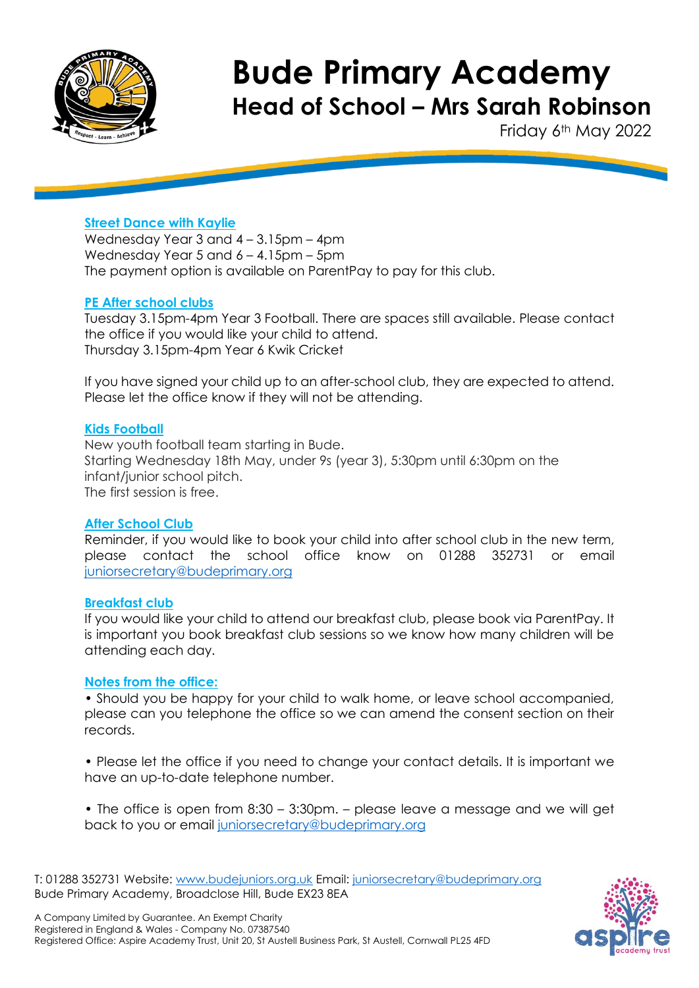

Friday 6<sup>th</sup> May 2022

# **Street Dance with Kaylie**

Wednesday Year 3 and 4 – 3.15pm – 4pm Wednesday Year 5 and 6 – 4.15pm – 5pm The payment option is available on ParentPay to pay for this club.

# **PE After school clubs**

Tuesday 3.15pm-4pm Year 3 Football. There are spaces still available. Please contact the office if you would like your child to attend. Thursday 3.15pm-4pm Year 6 Kwik Cricket

If you have signed your child up to an after-school club, they are expected to attend. Please let the office know if they will not be attending.

#### **Kids Football**

New youth football team starting in Bude. Starting Wednesday 18th May, under 9s (year 3), 5:30pm until 6:30pm on the infant/junior school pitch. The first session is free.

#### **After School Club**

Reminder, if you would like to book your child into after school club in the new term, please contact the school office know on 01288 352731 or email [juniorsecretary@budeprimary.org](mailto:juniorsecretary@budeprimary.org) 

#### **Breakfast club**

If you would like your child to attend our breakfast club, please book via ParentPay. It is important you book breakfast club sessions so we know how many children will be attending each day.

#### **Notes from the office:**

• Should you be happy for your child to walk home, or leave school accompanied, please can you telephone the office so we can amend the consent section on their records.

• Please let the office if you need to change your contact details. It is important we have an up-to-date telephone number.

• The office is open from 8:30 – 3:30pm. – please leave a message and we will get back to you or email [juniorsecretary@budeprimary.org](mailto:juniorsecretary@budeprimary.org)